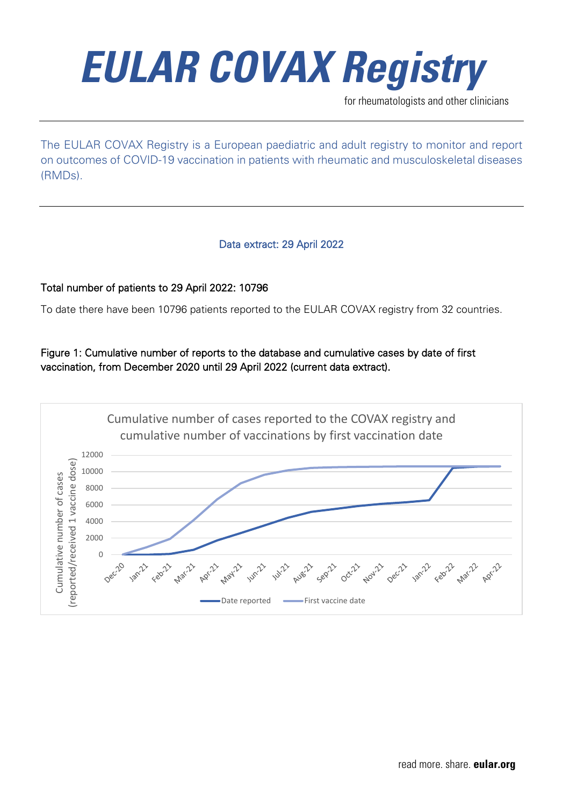

for rheumatologists and other clinicians

The EULAR COVAX Registry is a European paediatric and adult registry to monitor and report on outcomes of COVID-19 vaccination in patients with rheumatic and musculoskeletal diseases (RMDs).

#### Data extract: 29 April 2022

#### Total number of patients to 29 April 2022: 10796

To date there have been 10796 patients reported to the EULAR COVAX registry from 32 countries.

Figure 1: Cumulative number of reports to the database and cumulative cases by date of first vaccination, from December 2020 until 29 April 2022 (current data extract).

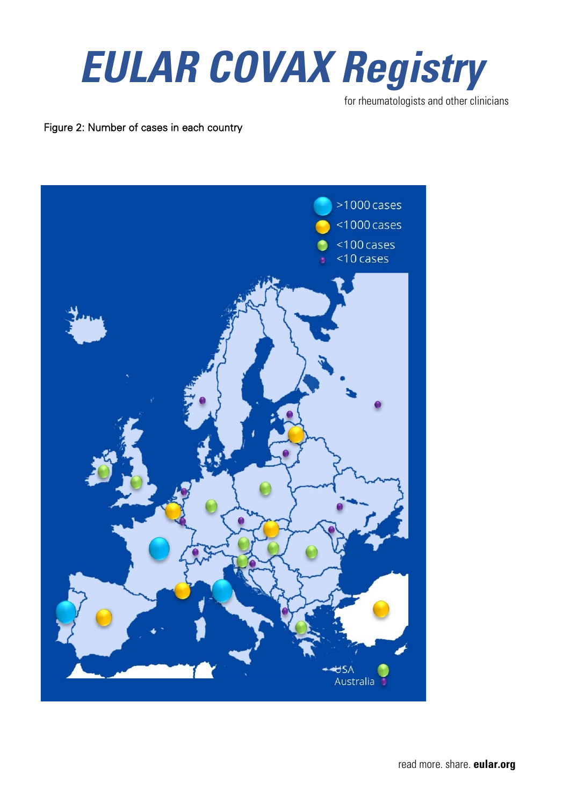

for rheumatologists and other clinicians

Figure 2: Number of cases in each country



read more. share. **eular.org**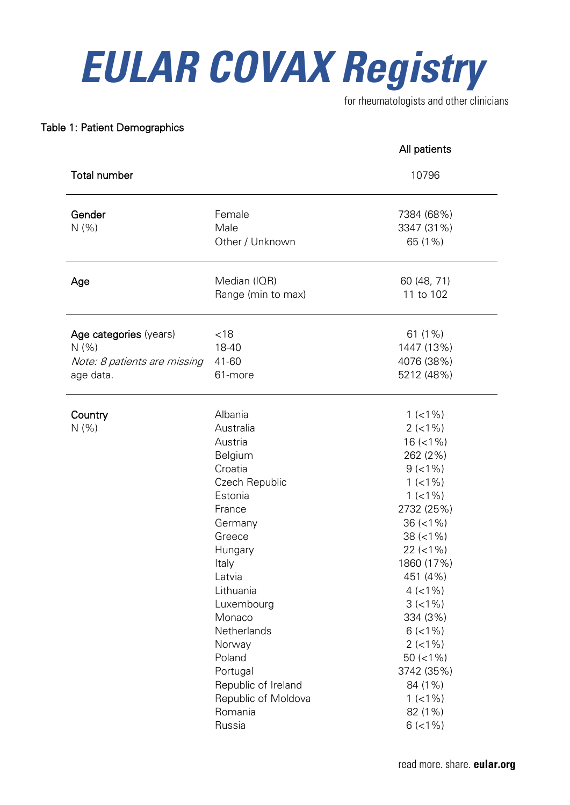for rheumatologists and other clinicians

#### Table 1: Patient Demographics

|                                                                              |                                                                                                                                                                                                                                                                                   | All patients                                                                                                                                                                                                                                                                                      |
|------------------------------------------------------------------------------|-----------------------------------------------------------------------------------------------------------------------------------------------------------------------------------------------------------------------------------------------------------------------------------|---------------------------------------------------------------------------------------------------------------------------------------------------------------------------------------------------------------------------------------------------------------------------------------------------|
| <b>Total number</b>                                                          |                                                                                                                                                                                                                                                                                   | 10796                                                                                                                                                                                                                                                                                             |
| Gender<br>N(% )                                                              | Female<br>Male<br>Other / Unknown                                                                                                                                                                                                                                                 | 7384 (68%)<br>3347 (31%)<br>65 (1%)                                                                                                                                                                                                                                                               |
| Age                                                                          | Median (IQR)<br>Range (min to max)                                                                                                                                                                                                                                                | 60 (48, 71)<br>11 to 102                                                                                                                                                                                                                                                                          |
| Age categories (years)<br>N(% )<br>Note: 8 patients are missing<br>age data. | < 18<br>18-40<br>41-60<br>61-more                                                                                                                                                                                                                                                 | 61 (1%)<br>1447 (13%)<br>4076 (38%)<br>5212 (48%)                                                                                                                                                                                                                                                 |
| Country<br>N(% )                                                             | Albania<br>Australia<br>Austria<br>Belgium<br>Croatia<br>Czech Republic<br>Estonia<br>France<br>Germany<br>Greece<br>Hungary<br>Italy<br>Latvia<br>Lithuania<br>Luxembourg<br>Monaco<br>Netherlands<br>Norway<br>Poland<br>Portugal<br>Republic of Ireland<br>Republic of Moldova | $1$ (<1%)<br>$2$ (<1%)<br>$16$ (<1%)<br>262 (2%)<br>$9$ (<1%)<br>$1$ (<1%)<br>$1$ (<1%)<br>2732 (25%)<br>$36 (=1%)$<br>$38 (< 1\%)$<br>$22 (< 1\%)$<br>1860 (17%)<br>451 (4%)<br>$4$ (<1%)<br>$3 (-1%)$<br>334 (3%)<br>$6$ (<1%)<br>$2$ (<1%)<br>$50 (=1%)$<br>3742 (35%)<br>84 (1%)<br>$1$ (<1%) |
|                                                                              | Romania<br>Russia                                                                                                                                                                                                                                                                 | 82 (1%)<br>$6$ (<1%)                                                                                                                                                                                                                                                                              |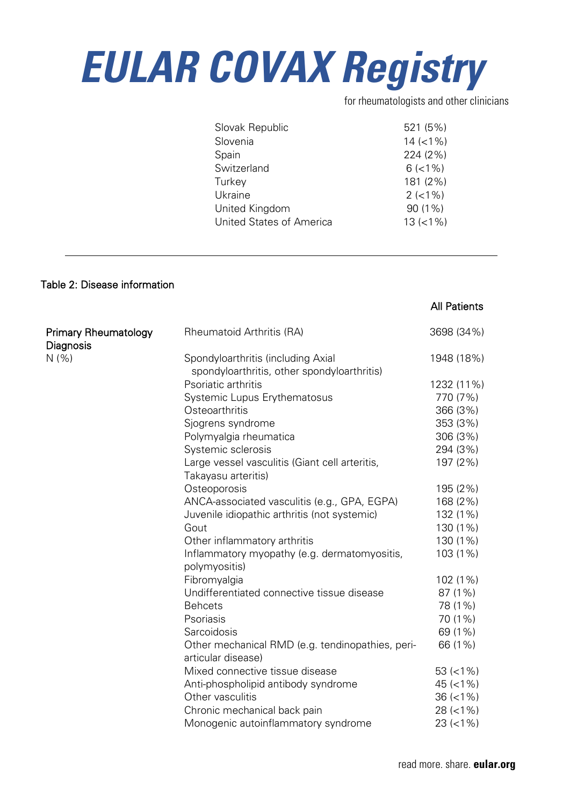for rheumatologists and other clinicians

| Slovak Republic                 | 521 (5%)     |
|---------------------------------|--------------|
| Slovenia                        | $14 (< 1\%)$ |
| Spain                           | 224 (2%)     |
| Switzerland                     | $6$ (<1%)    |
| Turkey                          | 181 (2%)     |
| Ukraine                         | $2(<1\%)$    |
| United Kingdom                  | $90(1\%)$    |
| <b>United States of America</b> | $13 (=1%)$   |
|                                 |              |

#### Table 2: Disease information

#### All Patients

| <b>Primary Rheumatology</b> | Rheumatoid Arthritis (RA)                                     | 3698 (34%)   |
|-----------------------------|---------------------------------------------------------------|--------------|
| Diagnosis                   |                                                               |              |
| N(% )                       | Spondyloarthritis (including Axial                            | 1948 (18%)   |
|                             | spondyloarthritis, other spondyloarthritis)                   |              |
|                             | Psoriatic arthritis                                           | 1232 (11%)   |
|                             | Systemic Lupus Erythematosus                                  | 770 (7%)     |
|                             | Osteoarthritis                                                | 366 (3%)     |
|                             | Sjogrens syndrome                                             | 353 (3%)     |
|                             | Polymyalgia rheumatica                                        | 306 (3%)     |
|                             | Systemic sclerosis                                            | 294 (3%)     |
|                             | Large vessel vasculitis (Giant cell arteritis,                | 197 (2%)     |
|                             | Takayasu arteritis)                                           |              |
|                             | Osteoporosis                                                  | 195 (2%)     |
|                             | ANCA-associated vasculitis (e.g., GPA, EGPA)                  | 168 (2%)     |
|                             | Juvenile idiopathic arthritis (not systemic)                  | 132 (1%)     |
|                             | Gout                                                          | 130 (1%)     |
|                             | Other inflammatory arthritis                                  | 130 (1%)     |
|                             | Inflammatory myopathy (e.g. dermatomyositis,<br>polymyositis) | 103 (1%)     |
|                             | Fibromyalgia                                                  | 102 (1%)     |
|                             | Undifferentiated connective tissue disease                    | 87 (1%)      |
|                             | <b>Behcets</b>                                                | 78 (1%)      |
|                             | Psoriasis                                                     | 70 (1%)      |
|                             | Sarcoidosis                                                   | 69 (1%)      |
|                             | Other mechanical RMD (e.g. tendinopathies, peri-              | 66 (1%)      |
|                             | articular disease)                                            |              |
|                             | Mixed connective tissue disease                               | $53 (< 1\%)$ |
|                             | Anti-phospholipid antibody syndrome                           | $45 (< 1\%)$ |
|                             | Other vasculitis                                              | $36 (< 1\%)$ |
|                             | Chronic mechanical back pain                                  | $28 (< 1\%)$ |
|                             | Monogenic autoinflammatory syndrome                           | $23 (< 1\%)$ |
|                             |                                                               |              |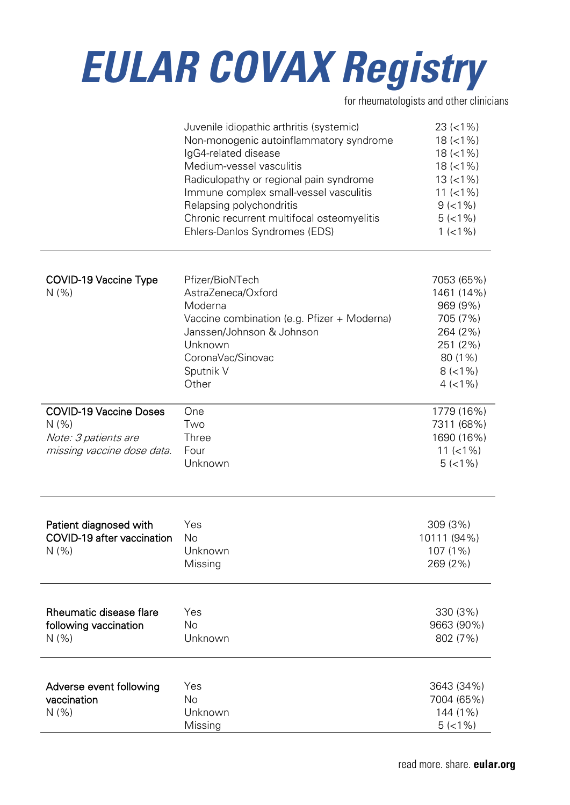for rheumatologists and other clinicians

|                                                                                              | Juvenile idiopathic arthritis (systemic)<br>Non-monogenic autoinflammatory syndrome<br>IgG4-related disease<br>Medium-vessel vasculitis<br>Radiculopathy or regional pain syndrome<br>Immune complex small-vessel vasculitis<br>Relapsing polychondritis<br>Chronic recurrent multifocal osteomyelitis<br>Ehlers-Danlos Syndromes (EDS) | $23 (< 1\%)$<br>$18 (< 1\%)$<br>$18 (< 1\%)$<br>$18 (=1%)$<br>$13 (=1%)$<br>$11 (< 1\%)$<br>$9$ (<1%)<br>$5(<1\%)$<br>$1$ (<1%) |
|----------------------------------------------------------------------------------------------|-----------------------------------------------------------------------------------------------------------------------------------------------------------------------------------------------------------------------------------------------------------------------------------------------------------------------------------------|---------------------------------------------------------------------------------------------------------------------------------|
| <b>COVID-19 Vaccine Type</b><br>N(% )                                                        | Pfizer/BioNTech<br>AstraZeneca/Oxford<br>Moderna<br>Vaccine combination (e.g. Pfizer + Moderna)<br>Janssen/Johnson & Johnson<br>Unknown<br>CoronaVac/Sinovac<br>Sputnik V<br>Other                                                                                                                                                      | 7053 (65%)<br>1461 (14%)<br>969 (9%)<br>705 (7%)<br>264 (2%)<br>251 (2%)<br>80 (1%)<br>$8 (< 1\%)$<br>$4$ (<1%)                 |
| <b>COVID-19 Vaccine Doses</b><br>N(% )<br>Note: 3 patients are<br>missing vaccine dose data. | One<br>Two<br>Three<br>Four<br>Unknown                                                                                                                                                                                                                                                                                                  | 1779 (16%)<br>7311 (68%)<br>1690 (16%)<br>11 $(< 1\%)$<br>$5(<1\%)$                                                             |
| Patient diagnosed with<br>COVID-19 after vaccination<br>N(% )                                | Yes<br>No<br>Unknown<br>Missing                                                                                                                                                                                                                                                                                                         | 309 (3%)<br>10111 (94%)<br>107 (1%)<br>269 (2%)                                                                                 |
| Rheumatic disease flare<br>following vaccination<br>N(% )                                    | Yes<br>No<br>Unknown                                                                                                                                                                                                                                                                                                                    | 330 (3%)<br>9663 (90%)<br>802 (7%)                                                                                              |
| Adverse event following<br>vaccination<br>N(% )                                              | Yes<br>No<br>Unknown<br>Missing                                                                                                                                                                                                                                                                                                         | 3643 (34%)<br>7004 (65%)<br>144 (1%)<br>$5(<1\%)$                                                                               |